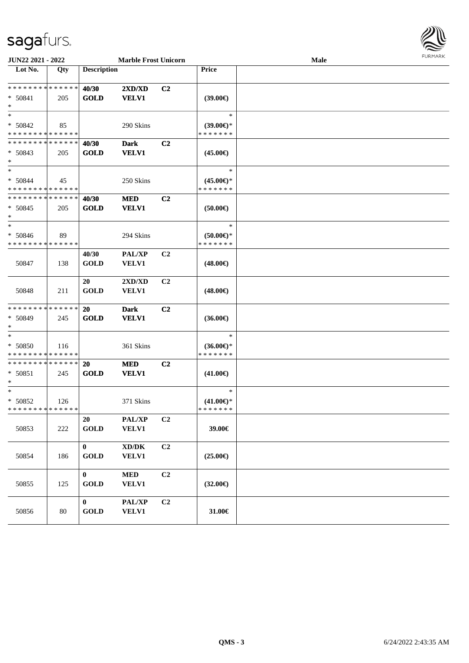## sagafurs.



| <b>JUN22 2021 - 2022</b>                                       |        | <b>Marble Frost Unicorn</b> |                                                     |                |                                                | <b>Male</b> | FURMARK |
|----------------------------------------------------------------|--------|-----------------------------|-----------------------------------------------------|----------------|------------------------------------------------|-------------|---------|
| $\overline{\text{Lot No.}}$                                    | Qty    | <b>Description</b>          |                                                     |                | Price                                          |             |         |
| * * * * * * * * <mark>* * * * * * *</mark><br>$* 50841$<br>$*$ | 205    | 40/30<br><b>GOLD</b>        | 2XD/XD<br><b>VELV1</b>                              | C <sub>2</sub> | $(39.00\epsilon)$                              |             |         |
| $*$<br>$* 50842$<br>* * * * * * * * * * * * * *                | 85     |                             | 290 Skins                                           |                | $\ast$<br>$(39.00\epsilon)$ *<br>* * * * * * * |             |         |
| * * * * * * * * <mark>* * * * * *</mark><br>$* 50843$<br>$*$   | 205    | 40/30<br><b>GOLD</b>        | <b>Dark</b><br><b>VELV1</b>                         | C <sub>2</sub> | $(45.00\epsilon)$                              |             |         |
| $*$<br>$* 50844$<br>* * * * * * * * * * * * * *                | 45     |                             | 250 Skins                                           |                | $\ast$<br>$(45.00\epsilon)$ *<br>* * * * * * * |             |         |
| * * * * * * * * * * * * * *<br>$* 50845$<br>$*$                | 205    | 40/30<br><b>GOLD</b>        | <b>MED</b><br><b>VELV1</b>                          | C <sub>2</sub> | $(50.00\epsilon)$                              |             |         |
| $*$<br>$* 50846$<br>* * * * * * * * * * * * * *                | 89     |                             | 294 Skins                                           |                | $\ast$<br>$(50.00 \in )$ *<br>* * * * * * *    |             |         |
| 50847                                                          | 138    | 40/30<br><b>GOLD</b>        | <b>PAL/XP</b><br><b>VELV1</b>                       | C <sub>2</sub> | $(48.00\epsilon)$                              |             |         |
| 50848                                                          | 211    | 20<br><b>GOLD</b>           | 2XD/XD<br><b>VELV1</b>                              | C <sub>2</sub> | $(48.00\epsilon)$                              |             |         |
| * * * * * * * * * * * * * *<br>$* 50849$<br>$\ast$             | 245    | 20<br><b>GOLD</b>           | <b>Dark</b><br><b>VELV1</b>                         | C <sub>2</sub> | $(36.00\epsilon)$                              |             |         |
| $*$<br>$* 50850$<br>* * * * * * * * * * * * * *                | 116    |                             | 361 Skins                                           |                | $\ast$<br>$(36.00\epsilon)$ *<br>* * * * * * * |             |         |
| * * * * * * * * * * * * * *<br>$* 50851$<br>$\ast$             | 245    | 20<br><b>GOLD</b>           | <b>MED</b><br><b>VELV1</b>                          | C <sub>2</sub> | $(41.00\epsilon)$                              |             |         |
| $*$<br>* 50852<br>* * * * * * * * * * * * * *                  | 126    |                             | 371 Skins                                           |                | $\ast$<br>$(41.00\epsilon)$ *<br>* * * * * * * |             |         |
| 50853                                                          | 222    | 20<br><b>GOLD</b>           | PAL/XP<br><b>VELV1</b>                              | C2             | 39.00€                                         |             |         |
| 50854                                                          | 186    | $\bf{0}$<br><b>GOLD</b>     | $\bold{X}\bold{D}/\bold{D}\bold{K}$<br><b>VELV1</b> | C2             | $(25.00\epsilon)$                              |             |         |
| 50855                                                          | 125    | $\bf{0}$<br><b>GOLD</b>     | <b>MED</b><br><b>VELV1</b>                          | C2             | $(32.00\epsilon)$                              |             |         |
| 50856                                                          | $80\,$ | $\bf{0}$<br><b>GOLD</b>     | <b>PAL/XP</b><br><b>VELV1</b>                       | C2             | 31.00€                                         |             |         |